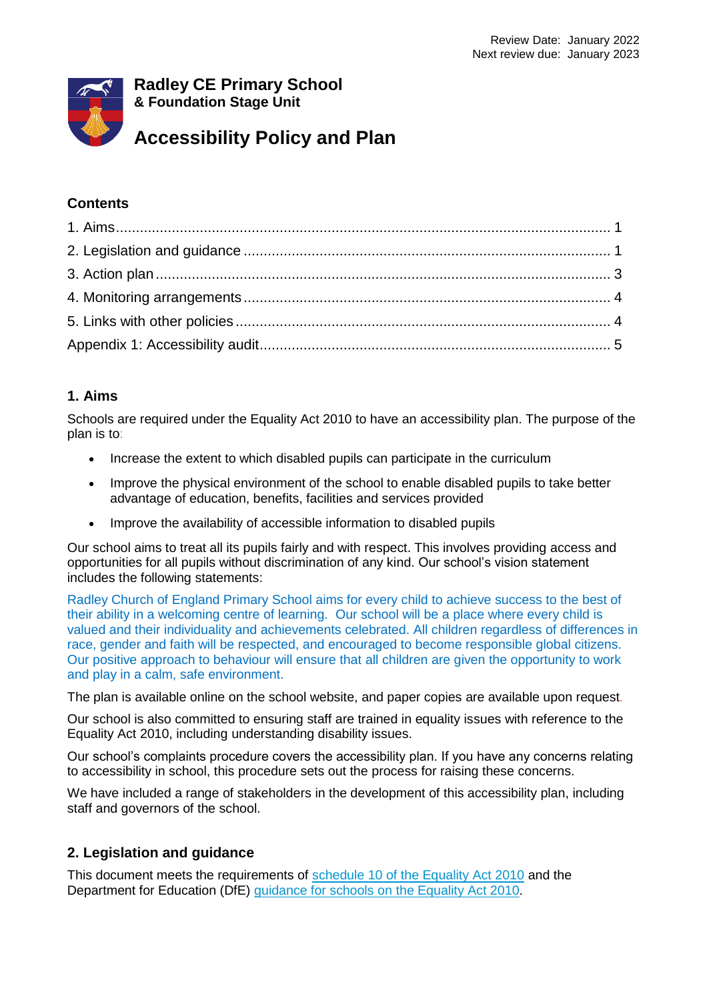

### **Contents**

### **1. Aims**

Schools are required under the Equality Act 2010 to have an accessibility plan. The purpose of the plan is to:

- Increase the extent to which disabled pupils can participate in the curriculum
- Improve the physical environment of the school to enable disabled pupils to take better advantage of education, benefits, facilities and services provided
- Improve the availability of accessible information to disabled pupils

Our school aims to treat all its pupils fairly and with respect. This involves providing access and opportunities for all pupils without discrimination of any kind. Our school's vision statement includes the following statements:

Radley Church of England Primary School aims for every child to achieve success to the best of their ability in a welcoming centre of learning. Our school will be a place where every child is valued and their individuality and achievements celebrated. All children regardless of differences in race, gender and faith will be respected, and encouraged to become responsible global citizens. Our positive approach to behaviour will ensure that all children are given the opportunity to work and play in a calm, safe environment.

The plan is available online on the school website, and paper copies are available upon request*.*

Our school is also committed to ensuring staff are trained in equality issues with reference to the Equality Act 2010, including understanding disability issues.

Our school's complaints procedure covers the accessibility plan. If you have any concerns relating to accessibility in school, this procedure sets out the process for raising these concerns.

We have included a range of stakeholders in the development of this accessibility plan, including staff and governors of the school.

## **2. Legislation and guidance**

This document meets the requirements of [schedule 10 of the Equality Act 2010](http://www.legislation.gov.uk/ukpga/2010/15/schedule/10) and the Department for Education (DfE) [guidance for schools on the Equality Act 2010.](https://www.gov.uk/government/publications/equality-act-2010-advice-for-schools)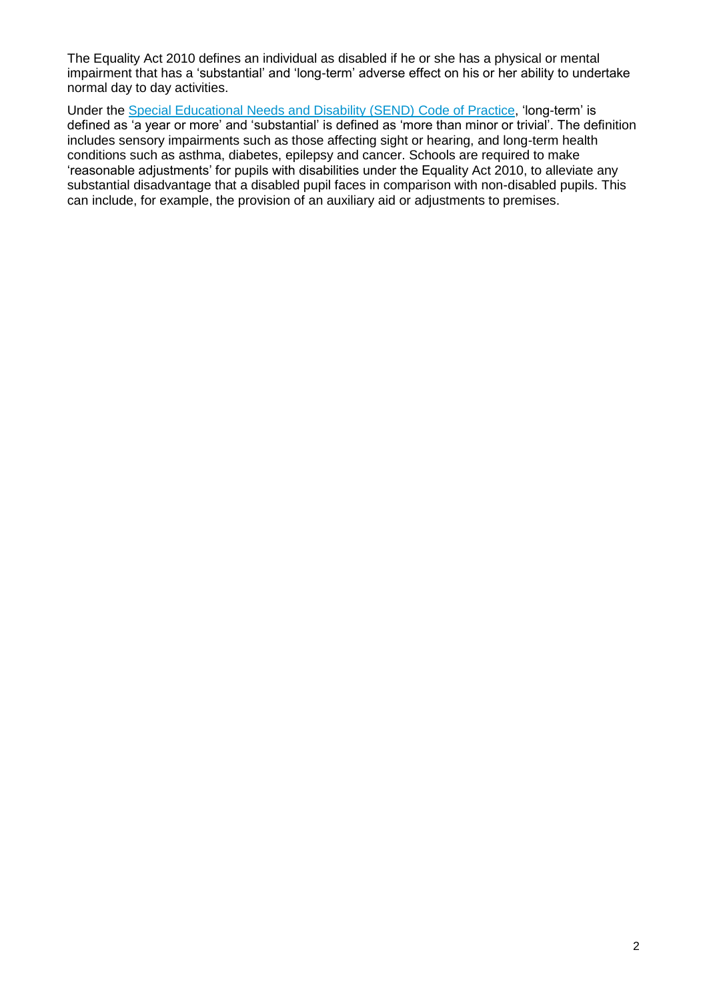The Equality Act 2010 defines an individual as disabled if he or she has a physical or mental impairment that has a 'substantial' and 'long-term' adverse effect on his or her ability to undertake normal day to day activities.

Under the [Special Educational Needs and Disability \(SEND\) Code of Practice,](https://www.gov.uk/government/publications/send-code-of-practice-0-to-25) 'long-term' is defined as 'a year or more' and 'substantial' is defined as 'more than minor or trivial'. The definition includes sensory impairments such as those affecting sight or hearing, and long-term health conditions such as asthma, diabetes, epilepsy and cancer. Schools are required to make 'reasonable adjustments' for pupils with disabilities under the Equality Act 2010, to alleviate any substantial disadvantage that a disabled pupil faces in comparison with non-disabled pupils. This can include, for example, the provision of an auxiliary aid or adjustments to premises.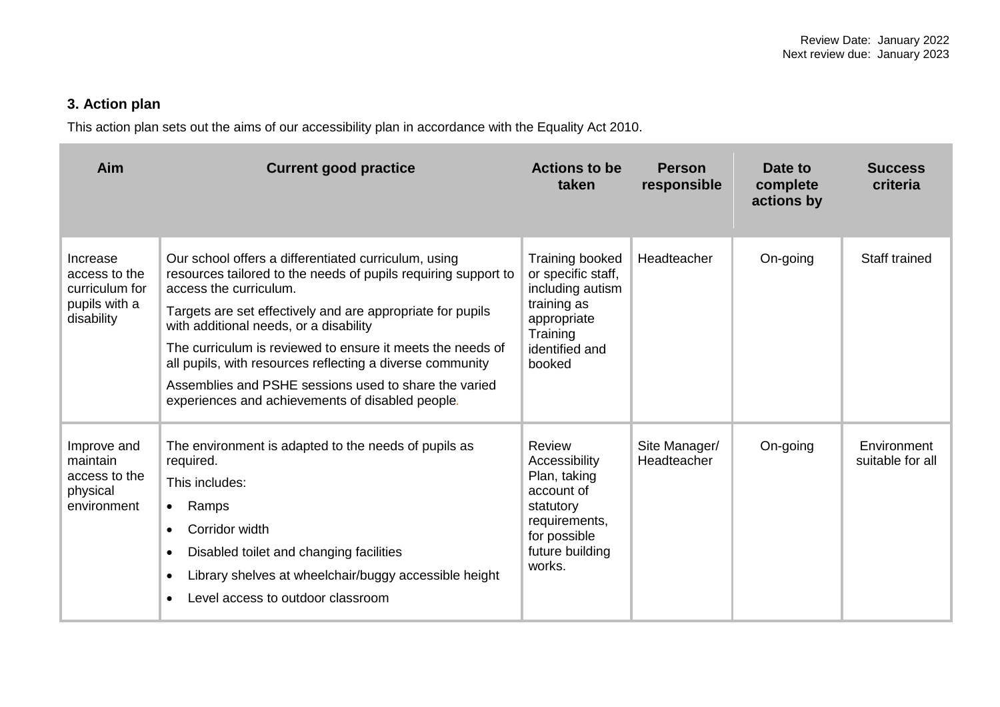# **3. Action plan**

This action plan sets out the aims of our accessibility plan in accordance with the Equality Act 2010.

| Aim                                                                        | <b>Current good practice</b>                                                                                                                                                                                                                                                                                                                                                                                                                                                                     | <b>Actions to be</b><br>taken                                                                                                    | <b>Person</b><br>responsible | Date to<br>complete<br>actions by | <b>Success</b><br>criteria      |
|----------------------------------------------------------------------------|--------------------------------------------------------------------------------------------------------------------------------------------------------------------------------------------------------------------------------------------------------------------------------------------------------------------------------------------------------------------------------------------------------------------------------------------------------------------------------------------------|----------------------------------------------------------------------------------------------------------------------------------|------------------------------|-----------------------------------|---------------------------------|
| Increase<br>access to the<br>curriculum for<br>pupils with a<br>disability | Our school offers a differentiated curriculum, using<br>resources tailored to the needs of pupils requiring support to<br>access the curriculum.<br>Targets are set effectively and are appropriate for pupils<br>with additional needs, or a disability<br>The curriculum is reviewed to ensure it meets the needs of<br>all pupils, with resources reflecting a diverse community<br>Assemblies and PSHE sessions used to share the varied<br>experiences and achievements of disabled people. | Training booked<br>or specific staff,<br>including autism<br>training as<br>appropriate<br>Training<br>identified and<br>booked  | Headteacher                  | On-going                          | Staff trained                   |
| Improve and<br>maintain<br>access to the<br>physical<br>environment        | The environment is adapted to the needs of pupils as<br>required.<br>This includes:<br>Ramps<br>$\bullet$<br>Corridor width<br>$\bullet$<br>Disabled toilet and changing facilities<br>Library shelves at wheelchair/buggy accessible height<br>Level access to outdoor classroom                                                                                                                                                                                                                | Review<br>Accessibility<br>Plan, taking<br>account of<br>statutory<br>requirements,<br>for possible<br>future building<br>works. | Site Manager/<br>Headteacher | On-going                          | Environment<br>suitable for all |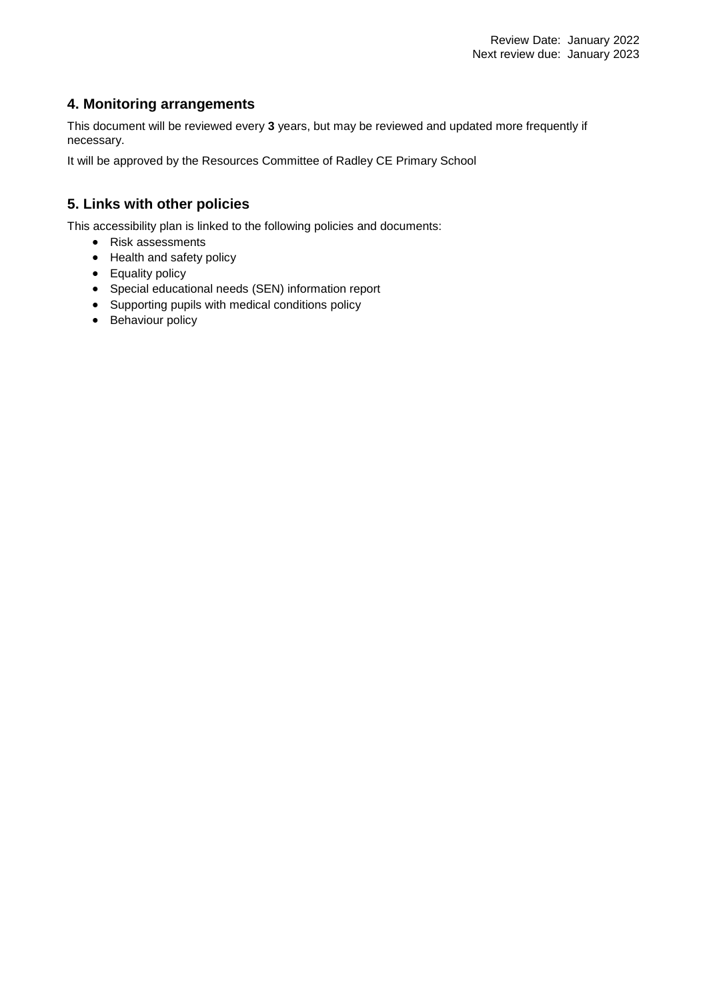### **4. Monitoring arrangements**

This document will be reviewed every **3** years, but may be reviewed and updated more frequently if necessary.

It will be approved by the Resources Committee of Radley CE Primary School

## **5. Links with other policies**

This accessibility plan is linked to the following policies and documents:

- Risk assessments
- Health and safety policy
- Equality policy
- Special educational needs (SEN) information report
- Supporting pupils with medical conditions policy
- Behaviour policy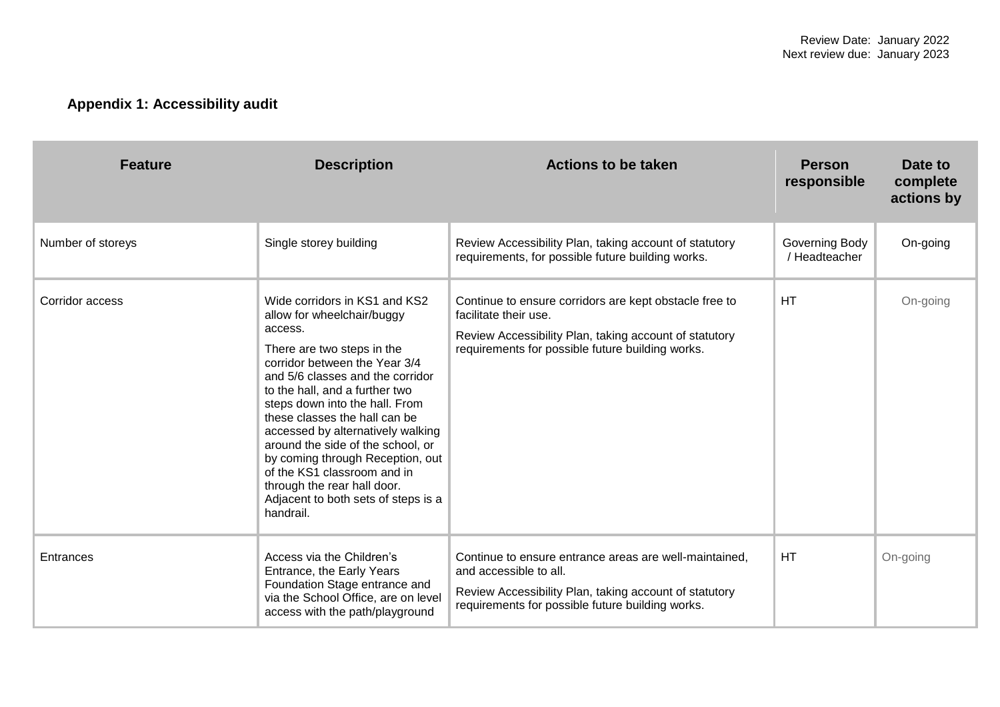# **Appendix 1: Accessibility audit**

| <b>Feature</b>    | <b>Description</b>                                                                                                                                                                                                                                                                                                                                                                                                                                                                                             | <b>Actions to be taken</b>                                                                                                                                                                     | <b>Person</b><br>responsible    | Date to<br>complete<br>actions by |
|-------------------|----------------------------------------------------------------------------------------------------------------------------------------------------------------------------------------------------------------------------------------------------------------------------------------------------------------------------------------------------------------------------------------------------------------------------------------------------------------------------------------------------------------|------------------------------------------------------------------------------------------------------------------------------------------------------------------------------------------------|---------------------------------|-----------------------------------|
| Number of storeys | Single storey building                                                                                                                                                                                                                                                                                                                                                                                                                                                                                         | Review Accessibility Plan, taking account of statutory<br>requirements, for possible future building works.                                                                                    | Governing Body<br>/ Headteacher | On-going                          |
| Corridor access   | Wide corridors in KS1 and KS2<br>allow for wheelchair/buggy<br>access.<br>There are two steps in the<br>corridor between the Year 3/4<br>and 5/6 classes and the corridor<br>to the hall, and a further two<br>steps down into the hall. From<br>these classes the hall can be<br>accessed by alternatively walking<br>around the side of the school, or<br>by coming through Reception, out<br>of the KS1 classroom and in<br>through the rear hall door.<br>Adjacent to both sets of steps is a<br>handrail. | Continue to ensure corridors are kept obstacle free to<br>facilitate their use.<br>Review Accessibility Plan, taking account of statutory<br>requirements for possible future building works.  | HT                              | On-going                          |
| Entrances         | Access via the Children's<br>Entrance, the Early Years<br>Foundation Stage entrance and<br>via the School Office, are on level<br>access with the path/playground                                                                                                                                                                                                                                                                                                                                              | Continue to ensure entrance areas are well-maintained,<br>and accessible to all.<br>Review Accessibility Plan, taking account of statutory<br>requirements for possible future building works. | <b>HT</b>                       | On-going                          |